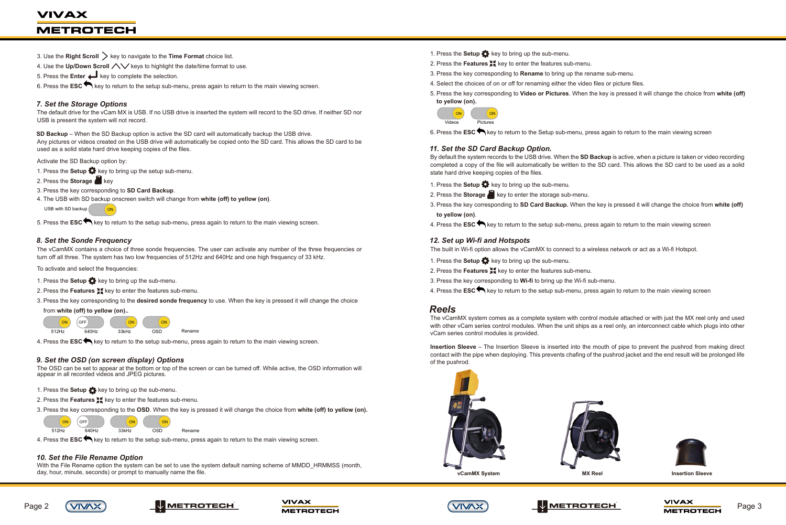- 1. Press the **Setup**  $\bullet$  key to bring up the sub-menu.
- 2. Press the **Features**  $\sharp$ <sup>*k*</sup> key to enter the features sub-menu.
- 3. Press the key corresponding to **Rename** to bring up the rename sub-menu.
- 4. Select the choices of on or off for renaming either the video files or picture files.
- **to yellow (on).**

5. Press the key corresponding to **Video or Pictures**. When the key is pressed it will change the choice from **white (off)**











6. Press the **ESC** key to return to the Setup sub-menu, press again to return to the main viewing screen

#### *11. Set the SD Card Backup Option.*

- 1. Press the **Setup**  $\bullet\bullet\bullet$  key to bring up the sub-menu.
- 2. Press the **Storage** key to enter the storage sub-menu.
- 3. Press the key corresponding to **SD Card Backup.** When the key is pressed it will change the choice from **white (off) to yellow (on)**.
- 4. Press the **ESC** key to return to the setup sub-menu, press again to return to the main viewing screen

By default the system records to the USB drive. When the **SD Backup** is active, when a picture is taken or video recording completed a copy of the file will automatically be written to the SD card. This allows the SD card to be used as a solid state hard drive keeping copies of the files.

- 1. Press the **Setup**  $\bullet\bullet$  key to bring up the sub-menu.
- 2. Press the **Features XE** key to enter the features sub-menu.
- 3. Press the key corresponding to **Wi-fi** to bring up the Wi-fi sub-menu.
- 4. Press the **ESC** key to return to the setup sub-menu, press again to return to the main viewing screen

#### *12. Set up Wi-fi and Hotspots*

# **VIVAX METROTECH**

- 3. Use the **Right Scroll**  $\geq$  key to navigate to the **Time Format** choice list.
- 4. Use the Up/Down Scroll  $\triangle\vee$  keys to highlight the date/time format to use.
- 5. Press the **Enter** key to complete the selection.
- 6. Press the **ESC** key to return to the setup sub-menu, press again to return to the main viewing screen.

The built in Wi-fi option allows the vCamMX to connect to a wireless network or act as a Wi-fi Hotspot.

- 1. Press the **Setup**  $\bullet\bullet\bullet$  key to bring up the setup sub-menu.
- 2. Press the **Storage** key
- 3. Press the key corresponding to **SD Card Backup**.
- 4. The USB with SD backup onscreen switch will change from **white (off) to yellow (on)**.

# *Reels*

The vCamMX system comes as a complete system with control module attached or with just the MX reel only and used with other vCam series control modules. When the unit ships as a reel only, an interconnect cable which plugs into other vCam series control modules is provided.

**Insertion Sleeve** – The Insertion Sleeve is inserted into the mouth of pipe to prevent the pushrod from making direct contact with the pipe when deploying. This prevents chafing of the pushrod jacket and the end result will be prolonged life of the pushrod.

- 2. Press the **Features K**ey to enter the features sub-menu.
- 3. Press the key corresponding to the **OSD**. When the key is pressed it will change the choice from **white (off) to yellow (on).**

With the File Rename option the system can be set to use the system default naming scheme of MMDD\_HRMMSS (month, day, hour, minute, seconds) or prompt to manually name the file.

## *7. Set the Storage Options*

The default drive for the vCam MX is USB. If no USB drive is inserted the system will record to the SD drive. If neither SD nor USB is present the system will not record.

**SD Backup** – When the SD Backup option is active the SD card will automatically backup the USB drive. Any pictures or videos created on the USB drive will automatically be copied onto the SD card. This allows the SD card to be used as a solid state hard drive keeping copies of the files.

Activate the SD Backup option by:

5. Press the **ESC** key to return to the setup sub-menu, press again to return to the main viewing screen.

#### *8. Set the Sonde Frequency*

The vCamMX contains a choice of three sonde frequencies. The user can activate any number of the three frequencies or turn off all three. The system has two low frequencies of 512Hz and 640Hz and one high frequency of 33 kHz.

To activate and select the frequencies:

- 1. Press the **Setup** key to bring up the sub-menu.
- 2. Press the **Features XE** key to enter the features sub-menu.
- 3. Press the key corresponding to the **desired sonde frequency** to use. When the key is pressed it will change the choice



4. Press the **ESC** key to return to the setup sub-menu, press again to return to the main viewing screen.

#### *9. Set the OSD (on screen display) Options*

The OSD can be set to appear at the bottom or top of the screen or can be turned off. While active, the OSD information will appear in all recorded videos and JPEG pictures.

1. Press the **Setup to** key to bring up the sub-menu.

4. Press the **ESC** key to return to the setup sub-menu, press again to return to the main viewing screen.

# *10. Set the File Rename Option*